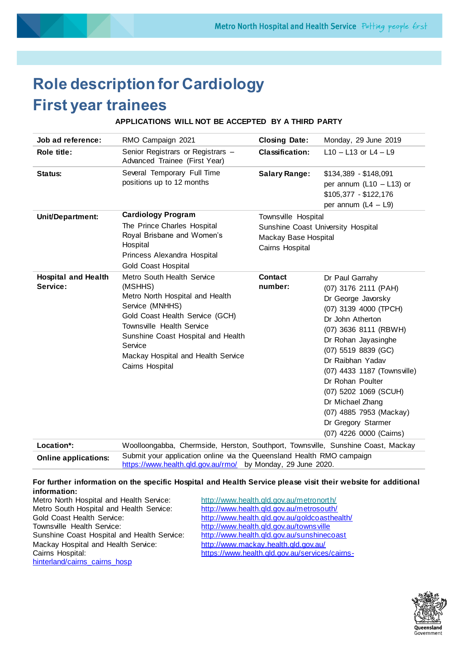# **Role description for Cardiology First year trainees**

# **APPLICATIONS WILL NOT BE ACCEPTED BY A THIRD PARTY**

| RMO Campaign 2021<br>Senior Registrars or Registrars -<br>Advanced Trainee (First Year)<br>Several Temporary Full Time<br>positions up to 12 months<br><b>Cardiology Program</b><br>The Prince Charles Hospital<br>Royal Brisbane and Women's<br>Hospital<br>Princess Alexandra Hospital<br><b>Gold Coast Hospital</b> | <b>Closing Date:</b><br><b>Classification:</b><br><b>Salary Range:</b><br>Townsville Hospital<br>Sunshine Coast University Hospital<br>Mackay Base Hospital<br>Cairns Hospital | Monday, 29 June 2019<br>$L$ 10 - L13 or L4 - L9<br>$$134,389 - $148,091$<br>per annum ( $L10 - L13$ ) or<br>$$105,377 - $122,176$<br>per annum $(L4 - L9)$                                                                                                                                                                                                                        |
|------------------------------------------------------------------------------------------------------------------------------------------------------------------------------------------------------------------------------------------------------------------------------------------------------------------------|--------------------------------------------------------------------------------------------------------------------------------------------------------------------------------|-----------------------------------------------------------------------------------------------------------------------------------------------------------------------------------------------------------------------------------------------------------------------------------------------------------------------------------------------------------------------------------|
|                                                                                                                                                                                                                                                                                                                        |                                                                                                                                                                                |                                                                                                                                                                                                                                                                                                                                                                                   |
|                                                                                                                                                                                                                                                                                                                        |                                                                                                                                                                                |                                                                                                                                                                                                                                                                                                                                                                                   |
|                                                                                                                                                                                                                                                                                                                        |                                                                                                                                                                                |                                                                                                                                                                                                                                                                                                                                                                                   |
|                                                                                                                                                                                                                                                                                                                        |                                                                                                                                                                                |                                                                                                                                                                                                                                                                                                                                                                                   |
| Metro South Health Service<br>(MSHHS)<br>Metro North Hospital and Health<br>Service (MNHHS)<br>Gold Coast Health Service (GCH)<br>Townsville Health Service<br>Sunshine Coast Hospital and Health<br>Service<br>Mackay Hospital and Health Service<br>Cairns Hospital                                                  | <b>Contact</b><br>number:                                                                                                                                                      | Dr Paul Garrahy<br>(07) 3176 2111 (PAH)<br>Dr George Javorsky<br>(07) 3139 4000 (TPCH)<br>Dr John Atherton<br>(07) 3636 8111 (RBWH)<br>Dr Rohan Jayasinghe<br>(07) 5519 8839 (GC)<br>Dr Raibhan Yadav<br>(07) 4433 1187 (Townsville)<br>Dr Rohan Poulter<br>(07) 5202 1069 (SCUH)<br>Dr Michael Zhang<br>(07) 4885 7953 (Mackay)<br>Dr Gregory Starmer<br>(07) 4226 0000 (Cairns) |
|                                                                                                                                                                                                                                                                                                                        |                                                                                                                                                                                | Woolloongabba, Chermside, Herston, Southport, Townsyille, Sunshine Coast, Mackay                                                                                                                                                                                                                                                                                                  |

**Location\*:** Woolloongabba, Chermside, Herston, Southport, Townsville, Sunshine Coast, Mackay **Online applications:** Submit your application online via the Queensland Health RMO campaign <https://www.health.qld.gov.au/rmo/> by Monday, 29 June 2020.

#### **For further information on the specific Hospital and Health Service please visit their website for additional information:**

| Metro North Hospital and Health Service:    |
|---------------------------------------------|
| Metro South Hospital and Health Service:    |
| <b>Gold Coast Health Service:</b>           |
| Townsville Health Service:                  |
| Sunshine Coast Hospital and Health Service: |
| Mackay Hospital and Health Service:         |
| Cairns Hospital:                            |
| hinterland/cairns cairns hosp               |

<http://www.health.qld.gov.au/metronorth/> <http://www.health.qld.gov.au/metrosouth/> <http://www.health.qld.gov.au/goldcoasthealth/> http://www.health.qld.gov.au/towns ville <http://www.health.qld.gov.au/sunshinecoast> <http://www.mackay.health.qld.gov.au/> [https://www.health.qld.gov.au/services/cairns-](https://www.health.qld.gov.au/services/cairns-hinterland/cairns_cairns_hosp)

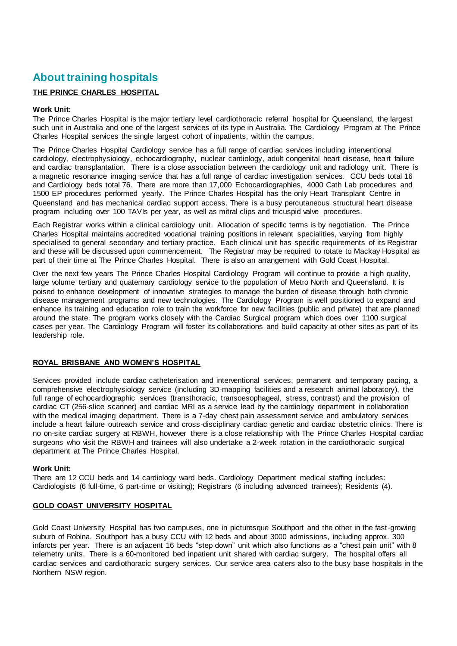# **About training hospitals**

# **THE PRINCE CHARLES HOSPITAL**

# **Work Unit:**

The Prince Charles Hospital is the major tertiary level cardiothoracic referral hospital for Queensland, the largest such unit in Australia and one of the largest services of its type in Australia. The Cardiology Program at The Prince Charles Hospital services the single largest cohort of inpatients, within the campus.

The Prince Charles Hospital Cardiology service has a full range of cardiac services including interventional cardiology, electrophysiology, echocardiography, nuclear cardiology, adult congenital heart disease, heart failure and cardiac transplantation. There is a close association between the cardiology unit and radiology unit. There is a magnetic resonance imaging service that has a full range of cardiac investigation services. CCU beds total 16 and Cardiology beds total 76. There are more than 17,000 Echocardiographies, 4000 Cath Lab procedures and 1500 EP procedures performed yearly. The Prince Charles Hospital has the only Heart Transplant Centre in Queensland and has mechanical cardiac support access. There is a busy percutaneous structural heart disease program including over 100 TAVIs per year, as well as mitral clips and tricuspid valve procedures.

Each Registrar works within a clinical cardiology unit. Allocation of specific terms is by negotiation. The Prince Charles Hospital maintains accredited vocational training positions in relevant specialities, varying from highly specialised to general secondary and tertiary practice. Each clinical unit has specific requirements of its Registrar and these will be discussed upon commencement. The Registrar may be required to rotate to Mackay Hospital as part of their time at The Prince Charles Hospital. There is also an arrangement with Gold Coast Hospital.

Over the next few years The Prince Charles Hospital Cardiology Program will continue to provide a high quality, large volume tertiary and quaternary cardiology service to the population of Metro North and Queensland. It is poised to enhance development of innovative strategies to manage the burden of disease through both chronic disease management programs and new technologies. The Cardiology Program is well positioned to expand and enhance its training and education role to train the workforce for new facilities (public and private) that are planned around the state. The program works closely with the Cardiac Surgical program which does over 1100 surgical cases per year. The Cardiology Program will foster its collaborations and build capacity at other sites as part of its leadership role.

# **ROYAL BRISBANE AND WOMEN'S HOSPITAL**

Services provided include cardiac catheterisation and interventional services, permanent and temporary pacing, a comprehensive electrophysiology service (including 3D-mapping facilities and a research animal laboratory), the full range of echocardiographic services (transthoracic, transoesophageal, stress, contrast) and the provision of cardiac CT (256-slice scanner) and cardiac MRI as a service lead by the cardiology department in collaboration with the medical imaging department. There is a 7-day chest pain assessment service and ambulatory services include a heart failure outreach service and cross-disciplinary cardiac genetic and cardiac obstetric clinics. There is no on-site cardiac surgery at RBWH, however there is a close relationship with The Prince Charles Hospital cardiac surgeons who visit the RBWH and trainees will also undertake a 2-week rotation in the cardiothoracic surgical department at The Prince Charles Hospital.

# **Work Unit:**

There are 12 CCU beds and 14 cardiology ward beds. Cardiology Department medical staffing includes: Cardiologists (6 full-time, 6 part-time or visiting); Registrars (6 including advanced trainees); Residents (4).

# **GOLD COAST UNIVERSITY HOSPITAL**

Gold Coast University Hospital has two campuses, one in picturesque Southport and the other in the fast-growing suburb of Robina. Southport has a busy CCU with 12 beds and about 3000 admissions, including approx. 300 infarcts per year. There is an adjacent 16 beds "step down" unit which also functions as a "chest pain unit" with 8 telemetry units. There is a 60-monitored bed inpatient unit shared with cardiac surgery. The hospital offers all cardiac services and cardiothoracic surgery services. Our service area caters also to the busy base hospitals in the Northern NSW region.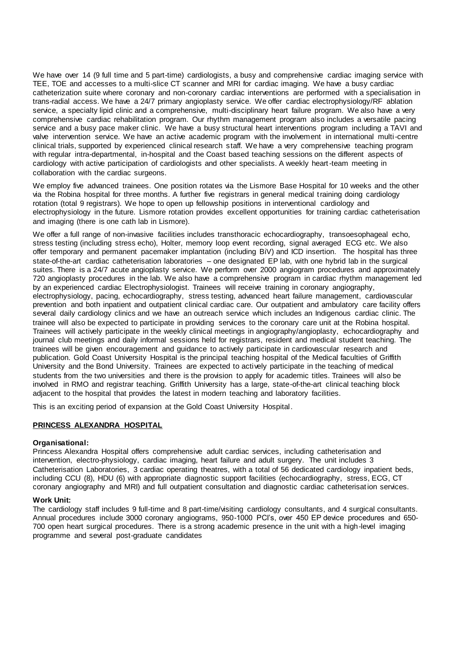We have over 14 (9 full time and 5 part-time) cardiologists, a busy and comprehensive cardiac imaging service with TEE, TOE and accesses to a multi-slice CT scanner and MRI for cardiac imaging. We have a busy cardiac catheterization suite where coronary and non-coronary cardiac interventions are performed with a specialisation in trans-radial access. We have a 24/7 primary angioplasty service. We offer cardiac electrophysiology/RF ablation service, a specialty lipid clinic and a comprehensive, multi-disciplinary heart failure program. We also have a very comprehensive cardiac rehabilitation program. Our rhythm management program also includes a versatile pacing service and a busy pace maker clinic. We have a busy structural heart interventions program including a TAVI and valve intervention service. We have an active academic program with the involvement in international multi-centre clinical trials, supported by experienced clinical research staff. We have a very comprehensive teaching program with regular intra-departmental, in-hospital and the Coast based teaching sessions on the different aspects of cardiology with active participation of cardiologists and other specialists. A weekly heart-team meeting in collaboration with the cardiac surgeons.

We employ five advanced trainees. One position rotates via the Lismore Base Hospital for 10 weeks and the other via the Robina hospital for three months. A further five registrars in general medical training doing cardiology rotation (total 9 registrars). We hope to open up fellowship positions in interventional cardiology and electrophysiology in the future. Lismore rotation provides excellent opportunities for training cardiac catheterisation and imaging (there is one cath lab in Lismore).

We offer a full range of non-invasive facilities includes transthoracic echocardiography, transoesophageal echo, stress testing (including stress echo), Holter, memory loop event recording, signal averaged ECG etc. We also offer temporary and permanent pacemaker implantation (including BiV) and ICD insertion. The hospital has three state-of-the-art cardiac catheterisation laboratories – one designated EP lab, with one hybrid lab in the surgical suites. There is a 24/7 acute angioplasty service. We perform over 2000 angiogram procedures and approximately 720 angioplasty procedures in the lab. We also have a comprehensive program in cardiac rhythm management led by an experienced cardiac Electrophysiologist. Trainees will receive training in coronary angiography, electrophysiology, pacing, echocardiography, stress testing, advanced heart failure management, cardiovascular prevention and both inpatient and outpatient clinical cardiac care. Our outpatient and ambulatory care facility offers several daily cardiology clinics and we have an outreach service which includes an Indigenous cardiac clinic. The trainee will also be expected to participate in providing services to the coronary care unit at the Robina hospital. Trainees will actively participate in the weekly clinical meetings in angiography/angioplasty, echocardiography and journal club meetings and daily informal sessions held for registrars, resident and medical student teaching. The trainees will be given encouragement and guidance to actively participate in cardiovascular research and publication. Gold Coast University Hospital is the principal teaching hospital of the Medical faculties of Griffith University and the Bond University. Trainees are expected to actively participate in the teaching of medical students from the two universities and there is the provision to apply for academic titles. Trainees will also be involved in RMO and registrar teaching. Griffith University has a large, state-of-the-art clinical teaching block adjacent to the hospital that provides the latest in modern teaching and laboratory facilities.

This is an exciting period of expansion at the Gold Coast University Hospital.

# **PRINCESS ALEXANDRA HOSPITAL**

# **Organisational:**

Princess Alexandra Hospital offers comprehensive adult cardiac services, including catheterisation and intervention, electro-physiology, cardiac imaging, heart failure and adult surgery. The unit includes 3 Catheterisation Laboratories, 3 cardiac operating theatres, with a total of 56 dedicated cardiology inpatient beds, including CCU (8), HDU (6) with appropriate diagnostic support facilities (echocardiography, stress, ECG, CT coronary angiography and MRI) and full outpatient consultation and diagnostic cardiac catheterisat ion services.

# **Work Unit:**

The cardiology staff includes 9 full-time and 8 part-time/visiting cardiology consultants, and 4 surgical consultants. Annual procedures include 3000 coronary angiograms, 950-1000 PCI's, over 450 EP device procedures and 650- 700 open heart surgical procedures. There is a strong academic presence in the unit with a high-level imaging programme and several post-graduate candidates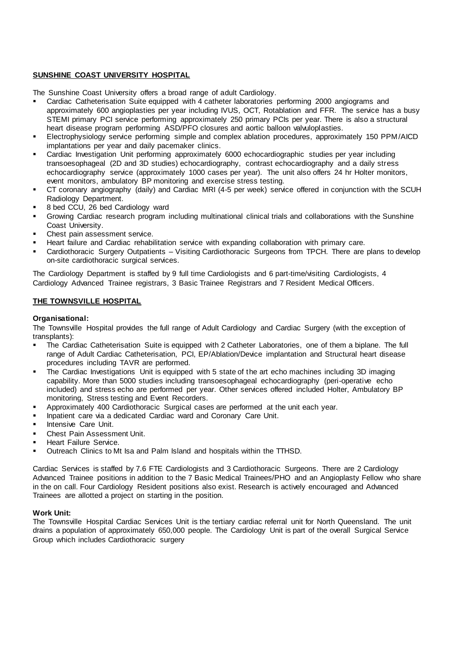# **SUNSHINE COAST UNIVERSITY HOSPITAL**

The Sunshine Coast University offers a broad range of adult Cardiology.

- Cardiac Catheterisation Suite equipped with 4 catheter laboratories performing 2000 angiograms and approximately 600 angioplasties per year including IVUS, OCT, Rotablation and FFR. The service has a busy STEMI primary PCI service performing approximately 250 primary PCIs per year. There is also a structural heart disease program performing ASD/PFO closures and aortic balloon valvuloplasties.
- Electrophysiology service performing simple and complex ablation procedures, approximately 150 PPM/AICD implantations per year and daily pacemaker clinics.
- Cardiac Investigation Unit performing approximately 6000 echocardiographic studies per year including transoesophageal (2D and 3D studies) echocardiography, contrast echocardiography and a daily stress echocardiography service (approximately 1000 cases per year). The unit also offers 24 hr Holter monitors, event monitors, ambulatory BP monitoring and exercise stress testing.
- CT coronary angiography (daily) and Cardiac MRI (4-5 per week) service offered in conjunction with the SCUH Radiology Department.
- 8 bed CCU, 26 bed Cardiology ward
- Growing Cardiac research program including multinational clinical trials and collaborations with the Sunshine Coast University.
- Chest pain assessment service.
- Heart failure and Cardiac rehabilitation service with expanding collaboration with primary care.
- Cardiothoracic Surgery Outpatients Visiting Cardiothoracic Surgeons from TPCH. There are plans to develop on-site cardiothoracic surgical services.

The Cardiology Department is staffed by 9 full time Cardiologists and 6 part-time/visiting Cardiologists, 4 Cardiology Advanced Trainee registrars, 3 Basic Trainee Registrars and 7 Resident Medical Officers.

# **THE TOWNSVILLE HOSPITAL**

# **Organisational:**

The Townsville Hospital provides the full range of Adult Cardiology and Cardiac Surgery (with the exception of transplants):

- The Cardiac Catheterisation Suite is equipped with 2 Catheter Laboratories, one of them a biplane. The full range of Adult Cardiac Catheterisation, PCI, EP/Ablation/Device implantation and Structural heart disease procedures including TAVR are performed.
- **•** The Cardiac Investigations Unit is equipped with 5 state of the art echo machines including 3D imaging capability. More than 5000 studies including transoesophageal echocardiography (peri-operative echo included) and stress echo are performed per year. Other services offered included Holter, Ambulatory BP monitoring, Stress testing and Event Recorders.
- Approximately 400 Cardiothoracic Surgical cases are performed at the unit each year.
- Inpatient care via a dedicated Cardiac ward and Coronary Care Unit.
- Intensive Care Unit.
- Chest Pain Assessment Unit.
- Heart Failure Service.
- Outreach Clinics to Mt Isa and Palm Island and hospitals within the TTHSD.

Cardiac Services is staffed by 7.6 FTE Cardiologists and 3 Cardiothoracic Surgeons. There are 2 Cardiology Advanced Trainee positions in addition to the 7 Basic Medical Trainees/PHO and an Angioplasty Fellow who share in the on call. Four Cardiology Resident positions also exist. Research is actively encouraged and Advanced Trainees are allotted a project on starting in the position.

# **Work Unit:**

The Townsville Hospital Cardiac Services Unit is the tertiary cardiac referral unit for North Queensland. The unit drains a population of approximately 650,000 people. The Cardiology Unit is part of the overall Surgical Service Group which includes Cardiothoracic surgery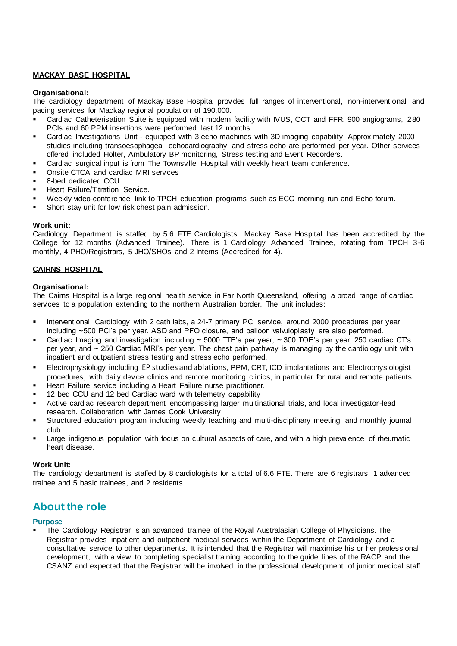# **MACKAY BASE HOSPITAL**

# **Organisational:**

The cardiology department of Mackay Base Hospital provides full ranges of interventional, non-interventional and pacing services for Mackay regional population of 190,000.

- Cardiac Catheterisation Suite is equipped with modern facility with IVUS, OCT and FFR. 900 angiograms, 280 PCIs and 60 PPM insertions were performed last 12 months.
- Cardiac Investigations Unit equipped with 3 echo machines with 3D imaging capability. Approximately 2000 studies including transoesophageal echocardiography and stress echo are performed per year. Other services offered included Holter, Ambulatory BP monitoring, Stress testing and Event Recorders.
- Cardiac surgical input is from The Townsville Hospital with weekly heart team conference.
- Onsite CTCA and cardiac MRI services
- 8-bed dedicated CCU
- **Heart Failure/Titration Service.**
- Weekly video-conference link to TPCH education programs such as ECG morning run and Echo forum.
- Short stay unit for low risk chest pain admission.

#### **Work unit:**

Cardiology Department is staffed by 5.6 FTE Cardiologists. Mackay Base Hospital has been accredited by the College for 12 months (Advanced Trainee). There is 1 Cardiology Advanced Trainee, rotating from TPCH 3-6 monthly, 4 PHO/Registrars, 5 JHO/SHOs and 2 Interns (Accredited for 4).

# **CAIRNS HOSPITAL**

#### **Organisational:**

The Cairns Hospital is a large regional health service in Far North Queensland, offering a broad range of cardiac services to a population extending to the northern Australian border. The unit includes:

- Interventional Cardiology with 2 cath labs, a 24-7 primary PCI service, around 2000 procedures per year including ~500 PCI's per year. ASD and PFO closure, and balloon valvuloplasty are also performed.
- Cardiac Imaging and investigation including  $\sim$  5000 TTE's per year,  $\sim$  300 TOE's per year, 250 cardiac CT's per year, and ~ 250 Cardiac MRI's per year. The chest pain pathway is managing by the cardiology unit with inpatient and outpatient stress testing and stress echo performed.
- Electrophysiology including EP studies and ablations, PPM, CRT, ICD implantations and Electrophysiologist procedures, with daily device clinics and remote monitoring clinics, in particular for rural and remote patients.
- Heart Failure service including a Heart Failure nurse practitioner.
- 12 bed CCU and 12 bed Cardiac ward with telemetry capability
- Active cardiac research department encompassing larger multinational trials, and local investigator-lead research. Collaboration with James Cook University.
- Structured education program including weekly teaching and multi-disciplinary meeting, and monthly journal club.
- Large indigenous population with focus on cultural aspects of care, and with a high prevalence of rheumatic heart disease.

#### **Work Unit:**

The cardiology department is staffed by 8 cardiologists for a total of 6.6 FTE. There are 6 registrars, 1 advanced trainee and 5 basic trainees, and 2 residents.

# **About the role**

# **Purpose**

The Cardiology Registrar is an advanced trainee of the Royal Australasian College of Physicians. The Registrar provides inpatient and outpatient medical services within the Department of Cardiology and a consultative service to other departments. It is intended that the Registrar will maximise his or her professional development, with a view to completing specialist training according to the guide lines of the RACP and the CSANZ and expected that the Registrar will be involved in the professional development of junior medical staff.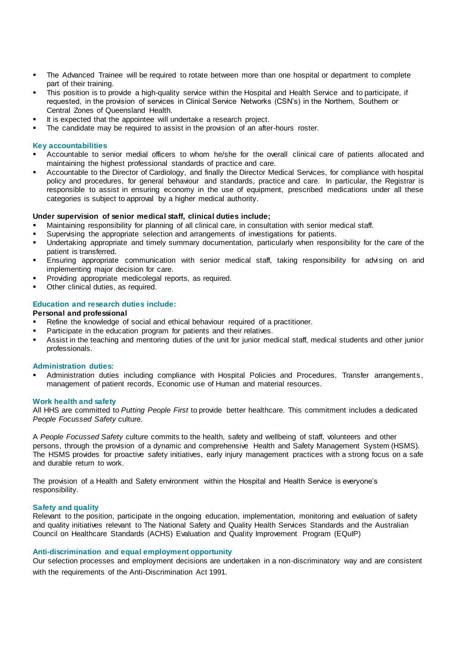- The Advanced Trainee will be required to rotate between more than one hospital or department to complete part of their training.
- This position is to provide a high-quality service within the Hospital and Health Service and to participate, if requested, in the provision of services in Clinical Service Networks (CSN's) in the Northern, Southern or Central Zones of Queensland Health.
- It is expected that the appointee will undertake a research project.
- The candidate may be required to assist in the provision of an after-hours roster.

#### **Key accountabilities**

- Accountable to senior medial officers to whom he/she for the overall clinical care of patients allocated and maintaining the highest professional standards of practice and care.
- Accountable to the Director of Cardiology, and finally the Director Medical Services, for compliance with hospital policy and procedures, for general behaviour and standards, practice and care. In particular, the Registrar is responsible to assist in ensuring economy in the use of equipment, prescribed medications under all these categories is subject to approval by a higher medical authority.

#### **Under supervision of senior medical staff, clinical duties include;**

- Maintaining responsibility for planning of all clinical care, in consultation with senior medical staff.
- Supervising the appropriate selection and arrangements of investigations for patients.
- Undertaking appropriate and timely summary documentation, particularly when responsibility for the care of the patient is transferred.
- **Ensuring appropriate communication with senior medical staff, taking responsibility for advising on and** implementing major decision for care.
- Providing appropriate medicolegal reports, as required.
- Other clinical duties, as required.

#### **Education and research duties include:**

#### **Personal and professional**

- Refine the knowledge of social and ethical behaviour required of a practitioner.
- Participate in the education program for patients and their relatives.
- Assist in the teaching and mentoring duties of the unit for junior medical staff, medical students and other junior professionals.

#### **Administration duties:**

Administration duties including compliance with Hospital Policies and Procedures, Transfer arrangements, management of patient records, Economic use of Human and material resources.

#### **Work health and safety**

All HHS are committed to *Putting People First* to provide better healthcare. This commitment includes a dedicated *People Focussed Safety* culture.

A *People Focussed Safety* culture commits to the health, safety and wellbeing of staff, volunteers and other persons, through the provision of a dynamic and comprehensive Health and Safety Management System (HSMS). The HSMS provides for proactive safety initiatives, early injury management practices with a strong focus on a safe and durable return to work.

The provision of a Health and Safety environment within the Hospital and Health Service is everyone's responsibility.

#### **Safety and quality**

Relevant to the position, participate in the ongoing education, implementation, monitoring and evaluation of safety and quality initiatives relevant to The National Safety and Quality Health Services Standards and the Australian Council on Healthcare Standards (ACHS) Evaluation and Quality Improvement Program (EQuIP)

#### **Anti-discrimination and equal employment opportunity**

Our selection processes and employment decisions are undertaken in a non-discriminatory way and are consistent with the requirements of the Anti-Discrimination Act 1991.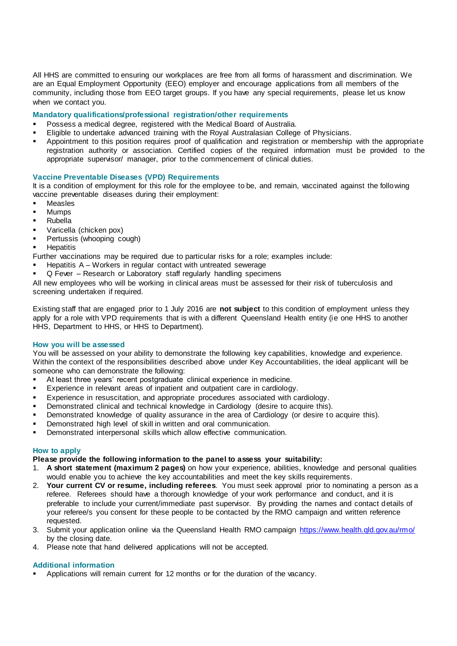All HHS are committed to ensuring our workplaces are free from all forms of harassment and discrimination. We are an Equal Employment Opportunity (EEO) employer and encourage applications from all members of the community, including those from EEO target groups. If you have any special requirements, please let us know when we contact you.

# **Mandatory qualifications/professional registration/other requirements**

- Possess a medical degree, registered with the Medical Board of Australia.
- Eligible to undertake advanced training with the Royal Australasian College of Physicians.
- Appointment to this position requires proof of qualification and registration or membership with the appropriate registration authority or association. Certified copies of the required information must be provided to the appropriate supervisor/ manager, prior to the commencement of clinical duties.

# **Vaccine Preventable Diseases (VPD) Requirements**

It is a condition of employment for this role for the employee to be, and remain, vaccinated against the following vaccine preventable diseases during their employment:

- Measles
- **Mumps**
- Rubella
- Varicella (chicken pox)
- **•** Pertussis (whooping cough)
- **■** Hepatitis

Further vaccinations may be required due to particular risks for a role; examples include:

- Hepatitis  $A W$ orkers in regular contact with untreated sewerage
- Q Fever Research or Laboratory staff regularly handling specimens

All new employees who will be working in clinical areas must be assessed for their risk of tuberculosis and screening undertaken if required.

Existing staff that are engaged prior to 1 July 2016 are **not subject** to this condition of employment unless they apply for a role with VPD requirements that is with a different Queensland Health entity (ie one HHS to another HHS, Department to HHS, or HHS to Department).

#### **How you will be assessed**

You will be assessed on your ability to demonstrate the following key capabilities, knowledge and experience. Within the context of the responsibilities described above under Key Accountabilities, the ideal applicant will be someone who can demonstrate the following:

- At least three years' recent postgraduate clinical experience in medicine.
- Experience in relevant areas of inpatient and outpatient care in cardiology.
- Experience in resuscitation, and appropriate procedures associated with cardiology.
- **•** Demonstrated clinical and technical knowledge in Cardiology (desire to acquire this).
- **•** Demonstrated knowledge of quality assurance in the area of Cardiology (or desire to acquire this).
- **EXEDEM** Demonstrated high level of skill in written and oral communication.
- Demonstrated interpersonal skills which allow effective communication.

#### **How to apply**

# **Please provide the following information to the panel to assess your suitability:**

- 1. **A short statement (maximum 2 pages)** on how your experience, abilities, knowledge and personal qualities would enable you to achieve the key accountabilities and meet the key skills requirements.
- 2. **Your current CV or resume, including referees**. You must seek approval prior to nominating a person as a referee. Referees should have a thorough knowledge of your work performance and conduct, and it is preferable to include your current/immediate past supervisor. By providing the names and contact details of your referee/s you consent for these people to be contacted by the RMO campaign and written reference requested.
- 3. Submit your application online via the Queensland Health RMO campaign<https://www.health.qld.gov.au/rmo/> by the closing date.
- 4. Please note that hand delivered applications will not be accepted.

# **Additional information**

Applications will remain current for 12 months or for the duration of the vacancy.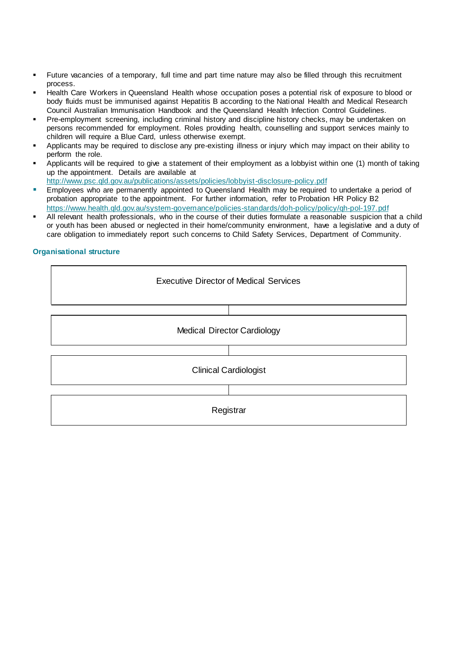- Future vacancies of a temporary, full time and part time nature may also be filled through this recruitment process.
- Health Care Workers in Queensland Health whose occupation poses a potential risk of exposure to blood or body fluids must be immunised against Hepatitis B according to the National Health and Medical Research Council Australian Immunisation Handbook and the Queensland Health Infection Control Guidelines.
- Pre-employment screening, including criminal history and discipline history checks, may be undertaken on persons recommended for employment. Roles providing health, counselling and support services mainly to children will require a Blue Card, unless otherwise exempt.
- Applicants may be required to disclose any pre-existing illness or injury which may impact on their ability to perform the role.
- Applicants will be required to give a statement of their employment as a lobbyist within one (1) month of taking up the appointment. Details are available at <http://www.psc.qld.gov.au/publications/assets/policies/lobbyist-disclosure-policy.pdf>
- **Employees who are permanently appointed to Queensland Health may be required to undertake a period of** probation appropriate to the appointment. For further information, refer to Probation HR Policy B2 <https://www.health.qld.gov.au/system-governance/policies-standards/doh-policy/policy/qh-pol-197.pdf>
- All relevant health professionals, who in the course of their duties formulate a reasonable suspicion that a child or youth has been abused or neglected in their home/community environment, have a legislative and a duty of care obligation to immediately report such concerns to Child Safety Services, Department of Community.

# **Organisational structure**